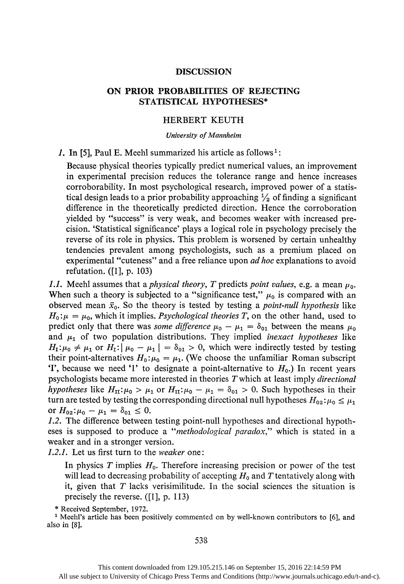#### **DISCUSSION**

# **ON PRIOR PROBABILITIES OF REJECTING STATISTICAL HYPOTHESES\***

## **HERBERT KEUTH**

### **University of Mannheim**

## **1. In [5], Paul E. Meehl summarized his article as follows1:**

**Because physical theories typically predict numerical values, an improvement in experimental precision reduces the tolerance range and hence increases corroborability. In most psychological research, improved power of a statistical design leads to a prior probability approaching**  $\frac{1}{2}$  **of finding a significant difference in the theoretically predicted direction. Hence the corroboration yielded by "success" is very weak, and becomes weaker with increased precision. 'Statistical significance' plays a logical role in psychology precisely the reverse of its role in physics. This problem is worsened by certain unhealthy tendencies prevalent among psychologists, such as a premium placed on experimental "cuteness" and a free reliance upon ad hoc explanations to avoid refutation. ([1], p. 103)** 

1.1. Meehl assumes that a *physical theory, T* predicts *point values*, e.g. a mean  $\mu_0$ . When such a theory is subjected to a "significance test,"  $\mu_0$  is compared with an observed mean  $\bar{x}_0$ . So the theory is tested by testing a *point-null hypothesis* like  $H_0: \mu = \mu_0$ , which it implies. *Psychological theories T*, on the other hand, used to predict only that there was *some difference*  $\mu_0 - \mu_1 = \delta_{01}$  between the means  $\mu_0$ and  $\mu_1$  of two population distributions. They implied *inexact hypotheses* like  $H_1: \mu_0 \neq \mu_1$  or  $H_1: |\mu_0 - \mu_1| = \delta_{01} > 0$ , which were indirectly tested by testing their point-alternatives  $H_0: \mu_0 = \mu_1$ . (We choose the unfamiliar Roman subscript **'I', because we need '1' to designate a point-alternative to Ho.) In recent years psychologists became more interested in theories Twhich at least imply directional**  *hypotheses* like  $H_{\text{II}}: \mu_0 > \mu_1$  or  $H_{\text{II}}: \mu_0 - \mu_1 = \delta_{01} > 0$ . Such hypotheses in their turn are tested by testing the corresponding directional null hypotheses  $H_{02}$ :  $\mu_0 \leq \mu_1$ or  $H_{02}$ :  $\mu_0 - \mu_1 = \delta_{01} \leq 0$ .

**1.2. The difference between testing point-null hypotheses and directional hypotheses is supposed to produce a "methodological paradox," which is stated in a weaker and in a stronger version.** 

**1.2.1. Let us first turn to the weaker one:** 

In physics  $T$  implies  $H_0$ . Therefore increasing precision or power of the test will lead to decreasing probability of accepting  $H_0$  and  $T$  tentatively along with **it, given that T lacks verisimilitude. In the social sciences the situation is precisely the reverse. ([1], p. 113)** 

**\* Received September, 1972.** 

**'Meehl's article has been positively commented on by well-known contributors to [6], and also in [8].** 

**538**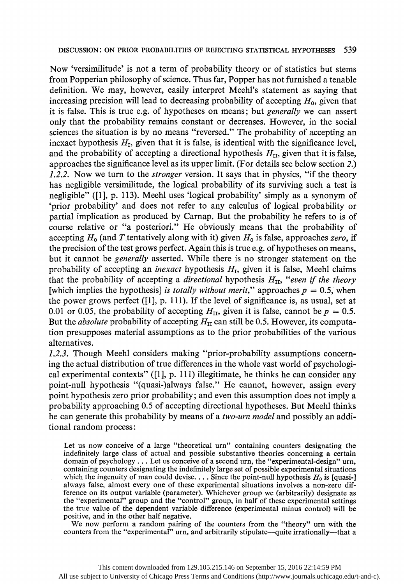**Now 'versimilitude' is not a term of probability theory or of statistics but stems from Popperian philosophy of science. Thus far, Popper has not furnished a tenable definition. We may, however, easily interpret Meehl's statement as saying that**  increasing precision will lead to decreasing probability of accepting  $H_0$ , given that **it is false. This is true e.g. of hypotheses on means; but generally we can assert only that the probability remains constant or decreases. However, in the social sciences the situation is by no means "reversed." The probability of accepting an**  inexact hypothesis  $H<sub>I</sub>$ , given that it is false, is identical with the significance level, and the probability of accepting a directional hypothesis  $H_{II}$ , given that it is false, **approaches the significance level as its upper limit. (For details see below section 2.) 1.2.2. Now we turn to the stronger version. It says that in physics, "if the theory has negligible versimilitude, the logical probability of its surviving such a test is negligible" ([1], p. 113). Meehl uses 'logical probability' simply as a synonym of 'prior probability' and does not refer to any calculus of logical probability or partial implication as produced by Carnap. But the probability he refers to is of course relative or "a posteriori." He obviously means that the probability of**  accepting  $H_0$  (and T tentatively along with it) given  $H_0$  is false, approaches zero, if **the precision of the test grows perfect. Again this is true e.g. of hypotheses on means, but it cannot be generally asserted. While there is no stronger statement on the**  probability of accepting an *inexact* hypothesis  $H<sub>I</sub>$ , given it is false, Meehl claims that the probability of accepting a *directional* hypothesis  $H_{II}$ , "even if the theory [which implies the hypothesis] is totally without merit," approaches  $p = 0.5$ , when **the power grows perfect ([1I], p. 111). If the level of significance is, as usual, set at**  0.01 or 0.05, the probability of accepting  $H_{II}$ , given it is false, cannot be  $p = 0.5$ . But the *absolute* probability of accepting  $H_{II}$  can still be 0.5. However, its computa**tion presupposes material assumptions as to the prior probabilities of the various alternatives.** 

**1.2.3. Though Meehl considers making "prior-probability assumptions concerning the actual distribution of true differences in the whole vast world of psychological experimental contexts" ([1], p. 111) illegitimate, he thinks he can consider any point-null hypothesis "(quasi-)always false." He cannot, however, assign every point hypothesis zero prior probability; and even this assumption does not imply a probability approaching 0.5 of accepting directional hypotheses. But Meehl thinks he can generate this probability by means of a two-urn model and possibly an additional random process:** 

**Let us now conceive of a large "theoretical urn" containing counters designating the indefinitely large class of actual and possible substantive theories concerning a certain domain of psychology. . . Let us conceive of a second urn, the "experimental-design" urn, containing counters designating the indefinitely large set of possible experimental situations**  which the ingenuity of man could devise.... Since the point-null hypothesis  $H_0$  is [quasi-] **always false, almost every one of these experimental situations involves a non-zero difference on its output variable (parameter). Whichever group we (arbitrarily) designate as the "experimental" group and the "control" group, in half of these experimental settings the true value of the dependent variable difference (experimental minus control) will be positive, and in the other half negative.** 

**We now perform a random pairing of the counters from the "theory" urn with the**  counters from the "experimental" urn, and arbitrarily stipulate—quite irrationally—that a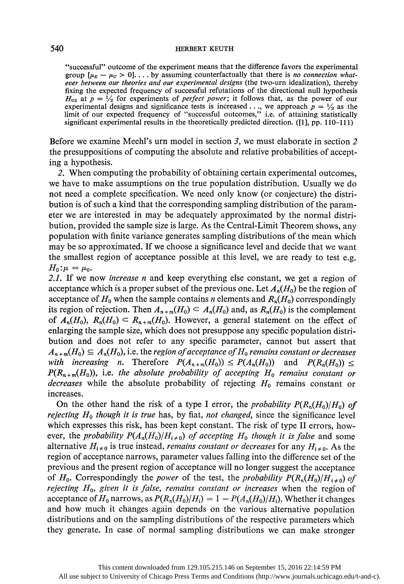#### **540 HERBERT KEUTH**

**"successful" outcome of the experiment means that the difference favors the experimental**  group  $[\mu_E - \mu_C > 0]$ ... by assuming counterfactually that there is no connection what**ever between our theories and our experimental designs (the two-urn idealization), thereby fixing the expected frequency of successful refutations of the directional null hypothesis**   $H_{02}$  at  $p = \frac{1}{2}$  for experiments of *perfect power*; it follows that, as the power of our experimental designs and significance tests is increased..., we approach  $p = \frac{1}{2}$  as the **limit of our expected frequency of "successful outcomes," i.e. of attaining statistically significant experimental results in the theoretically predicted direction. ([1], pp. 110-111)** 

**Before we examine Meehl's urn model in section 3, we must elaborate in section 2 the presuppositions of computing the absolute and relative probabilities of accepting a hypothesis.** 

**2. When computing the probability of obtaining certain experimental outcomes, we have to make assumptions on the true population distribution. Usually we do not need a complete specification. We need only know (or conjecture) the distribution is of such a kind that the corresponding sampling distribution of the parameter we are interested in may be adequately approximated by the normal distribution, provided the sample size is large. As the Central-Limit Theorem shows, any population with finite variance generates sampling distributions of the mean which may be so approximated. If we choose a significance level and decide that we wanlt the smallest region of acceptance possible at this level, we are ready to test e.g.**   $H_0: \mu = \mu_0.$ 

**2.1. If we now increase n and keep everything else constant, we get a region of**  acceptance which is a proper subset of the previous one. Let  $A_n(H_0)$  be the region of acceptance of  $H_0$  when the sample contains *n* elements and  $R_n(H_0)$  correspondingly its region of rejection. Then  $A_{n+m}(H_0) \subset A_n(H_0)$  and, as  $R_n(H_0)$  is the complement of  $A_n(H_0)$ ,  $R_n(H_0) \subseteq R_{n+m}(H_0)$ . However, a general statement on the effect of **enlarging the sample size, which does not presuppose any specific population distribution and does not refer to any specific parameter, cannot but assert that**   $A_{n+m}(H_0) \subseteq A_n(H_0)$ , i.e. the region of acceptance of  $H_0$  remains constant or decreases with increasing *n*. Therefore  $P(A_{n+m}(H_0)) \leq P(A_n(H_0))$  and  $P(R_n(H_0)) \leq$  $P(R_{n+m}(H_0))$ , i.e. the absolute probability of accepting  $H_0$  remains constant or *decreases* while the absolute probability of rejecting  $H_0$  remains constant or **increases.** 

On the other hand the risk of a type I error, the *probability*  $P(R_n(H_0)/H_0)$  *of rejecting*  $H_0$  *though it is true has, by fiat, not changed, since the significance level* **which expresses this risk, has been kept constant. The risk of type II errors, how**ever, the *probability*  $P(A_n(H_0)/H_{i\neq 0})$  of accepting  $H_0$  though it is false and some **alternative**  $H_{i \neq 0}$  **is true instead, remains constant or decreases for any**  $H_{i \neq 0}$ **. As the region of acceptance narrows, parameter values falling into the difference set of the previous and the present region of acceptance will no longer suggest the acceptance**  of  $H_0$ . Correspondingly the power of the test, the probability  $P(R_n(H_0)/H_{i\neq 0})$  of rejecting H<sub>0</sub>, given it is false, remains constant or increases when the region of acceptance of  $H_0$  narrows, as  $P(R_n(H_0)/H_i) = 1 - P(A_n(H_0)/H_i)$ . Whether it changes **and how much it changes again depends on the various alternative population distributions and on the sampling distributions of the respective parameters which they generate. In case of normal sampling distributions we can make stronger**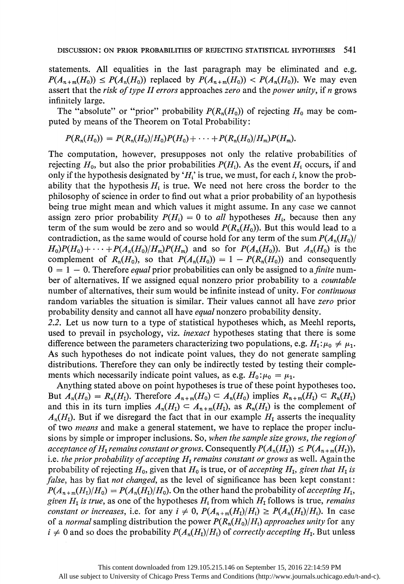**statements. All equalities in the last paragraph may be eliminated and e.g.**   $P(A_{n+m}(H_0)) \leq P(A_n(H_0))$  replaced by  $P(A_{n+m}(H_0)) < P(A_n(H_0))$ . We may even **assert that the risk of type II errors approaches zero and the power unity, if n grows infinitely large.** 

The "absolute" or "prior" probability  $P(R_n(H_0))$  of rejecting  $H_0$  may be com**puted by means of the Theorem on Total Probability:** 

$$
P(R_n(H_0)) = P(R_n(H_0)/H_0)P(H_0) + \cdots + P(R_n(H_0)/H_m)P(H_m).
$$

**The computation, however, presupposes not only the relative probabilities of**  rejecting  $H_0$ , but also the prior probabilities  $P(H_i)$ . As the event  $H_i$  occurs, if and only if the hypothesis designated by  $H_i$  is true, we must, for each *i*, know the probability that the hypothesis  $H_i$  is true. We need not here cross the border to the **philosophy of science in order to find out what a prior probability of an hypothesis being true might mean and which values it might assume. In any case we cannot**  assign zero prior probability  $P(H_i) = 0$  to *all* hypotheses  $H_i$ , because then any **term of the sum would be zero and so would**  $P(R_n(H_0))$ **. But this would lead to a** contradiction, as the same would of course hold for any term of the sum  $P(A_n(H_0))$  $H_0P(H_0) + \cdots + P(A_n(H_0)/H_m)P(H_m)$  and so for  $P(A_n(H_0))$ . But  $A_n(H_0)$  is the complement of  $R_n(H_0)$ , so that  $P(A_n(H_0)) = 1 - P(R_n(H_0))$  and consequently  $0 = 1 - 0$ . Therefore *equal* prior probabilities can only be assigned to a *finite* num**ber of alternatives. If we assigned equal nonzero prior probability to a countable number of alternatives, their sum would be infinite instead of unity. For continuous random variables the situation is similar. Their values cannot all have zero prior probability density and cannot all have equal nonzero probability density.** 

**2.2. Let us now turn to a type of statistical hypotheses which, as Meehl reports, used to prevail in psychology, viz. inexact hypotheses stating that there is some**  difference between the parameters characterizing two populations, e.g.  $H_1: \mu_0 \neq \mu_1$ . **As such hypotheses do not indicate point values, they do not generate sampling distributions. Therefore they can only be indirectly tested by testing their complements which necessarily indicate point values, as e.g.**  $H_0: \mu_0 = \mu_1$ **.** 

**Anything stated above on point hypotheses is true of these point hypotheses too. But**  $A_n(H_0) = R_n(H_1)$ . Therefore  $A_{n+m}(H_0) \subset A_n(H_0)$  implies  $R_{n+m}(H_1) \subset R_n(H_1)$ and this in its turn implies  $A_n(H_1) \subset A_{n+m}(H_1)$ , as  $R_n(H_1)$  is the complement of  $A_n(H_1)$ . But if we disregard the fact that in our example  $H_1$  asserts the inequality **of two means and make a general statement, we have to replace the proper inclusions by simple or improper inclusions. So, when the sample size grows, the region of**  acceptance of  $H_1$  remains constant or grows. Consequently  $P(A_n(H_1)) \leq P(A_{n+m}(H_1)),$ i.e. the prior probability of accepting  $H<sub>I</sub>$  remains constant or grows as well. Again the probability of rejecting  $H_0$ , given that  $H_0$  is true, or of *accepting*  $H_1$ , given that  $H_1$  is **false, has by fiat not changed, as the level of significance has been kept constant:**   $P(A_{n+m}(H_1)/H_0) = P(A_n(H_1)/H_0)$ . On the other hand the probability of accepting  $H_1$ , *given H<sub>I</sub> is true,* as one of the hypotheses  $H_i$  from which  $H_i$  follows is true, *remains* constant or increases, i.e. for any  $i \neq 0$ ,  $P(A_{n+m}(H_1)/H_i) \geq P(A_n(H_1)/H_i)$ . In case of a *normal* sampling distribution the power  $P(R_n(H_0)/H_i)$  approaches unity for any  $i \neq 0$  and so does the probability  $P(A_n(H_1)/H_i)$  of *correctly accepting*  $H_1$ . But unless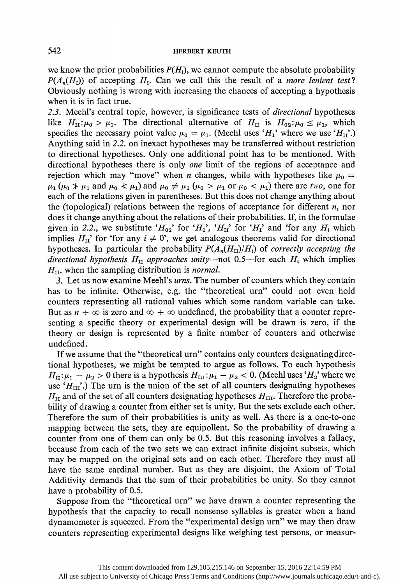we know the prior probabilities  $P(H_i)$ , we cannot compute the absolute probability  $P(A_n(H_1))$  of accepting  $H_1$ . Can we call this the result of a *more lenient test?* **Obviously nothing is wrong with increasing the chances of accepting a hypothesis when it is in fact true.** 

**2.3. Meehl's central topic, however, is significance tests of directional hypotheses**  like  $H_{II}$ :  $\mu_0 > \mu_1$ . The directional alternative of  $H_{II}$  is  $H_{02}$ :  $\mu_0 \le \mu_1$ , which specifies the necessary point value  $\mu_0 = \mu_1$ . (Meehl uses 'H<sub>1</sub>' where we use 'H<sub>II</sub>'.) **Anything said in 2.2. on inexact hypotheses may be transferred without restriction to directional hypotheses. Only one additional point has to be mentioned. With directional hypotheses there is only one limit of the regions of acceptance and rejection which may "move" when** *n* **changes, while with hypotheses like**  $\mu_0 =$  $\mu_1$  ( $\mu_0 \neq \mu_1$  and  $\mu_0 \neq \mu_1$ ) and  $\mu_0 \neq \mu_1$  ( $\mu_0 > \mu_1$  or  $\mu_0 < \mu_1$ ) there are two, one for **each of the relations given in parentheses. But this does not change anything about**  the (topological) relations between the regions of acceptance for different  $n$ , nor **does it change anything about the relations of their probabilities. If, in the formulae**  given in 2.2., we substitute  $H_{02}$  for  $H_0$ ,  $H_{II}$  for  $H_I$  and 'for any  $H_i$  which implies  $H_{II}$  for 'for any  $i \neq 0$ ', we get analogous theorems valid for directional hypotheses. In particular the probability  $P(A_n(H_{II})/H_i)$  of *correctly accepting the* directional hypothesis  $H_{II}$  approaches unity-not 0.5-for each  $H_i$  which implies  $H_{II}$ , when the sampling distribution is *normal*.

**3. Let us now examine Meehl's urns. The number of counters which they contain has to be infinite. Otherwise, e.g. the "theoretical urn" could not even hold counters representing all rational values which some random variable can take.**  But as  $n \div \infty$  is zero and  $\infty \div \infty$  undefined, the probability that a counter repre**senting a specific theory or experimental design will be drawn is zero, if the theory or design is represented by a finite number of counters and otherwise undefined.** 

**If we assume that the "theoretical urn" contains only counters designating directional hypotheses, we might be tempted to argue as follows. To each hypothesis**   $H_{II}$ :  $\mu_1 - \mu_2 > 0$  there is a hypothesis  $H_{III}$ :  $\mu_1 - \mu_2 < 0$ . (Meehl uses ' $H_2$ ' where we use  $H_{\text{III}}$ .) The urn is the union of the set of all counters designating hypotheses  $H_{II}$  and of the set of all counters designating hypotheses  $H_{III}$ . Therefore the proba**bility of drawing a counter from either set is unity. But the sets exclude each other. Therefore the sum of their probabilities is unity as well. As there is a one-to-one mapping between the sets, they are equipollent. So the probability of drawing a counter from one of them can only be 0.5. But this reasoning involves a fallacy, because from each of the two sets we can extract infinite disjoint subsets, which may be mapped on the original sets and on each other. Therefore they must all have the same cardinal number. But as they are disjoint, the Axiom of Total Additivity demands that the sum of their probabilities be unity. So they cannot have a probability of 0.5.** 

**Suppose from the "theoretical urn" we have drawn a counter representing the hypothesis that the capacity to recall nonsense syllables is greater when a hand dynamnometer is squeezed. From the "experimental design urn" we may then draw counters representing experimental designs like weighing test persons, or measur-**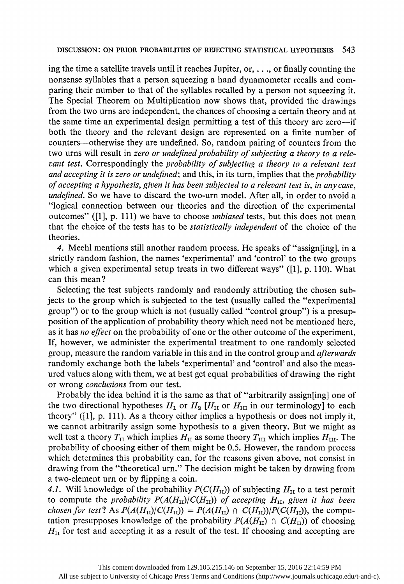**ing the time a satellite travels until it reaches Jupiter, or, . . ., or finally counting the nonsense syllables that a person squeezing a hand dynamometer recalls and comparing their number to that of the syllables recalled by a person not squeezing it. The Special Theorem on Multiplication now shows that, provided the drawings from the two urns are independent, the chances of choosing a certain theory and at the same time an experimental design permitting a test of this theory are zero-if both the theory and the relevant design are represented on a finite number of counters-otherwise they are undefined. So, random pairing of counters from the two urns will result in zero or undefined probability of subjecting a theory to a rele**vant test. Correspondingly the *probability of subjecting a theory to a relevant test* **and accepting it is zero or undefined; and this, in its turn, implies that the probability**  *of accepting a hypothesis, given it has been subjected to a relevant test is, in any case,* **undefined. So we have to discard the two-urn model. After all, in order to avoid a "logical connection between our theories and the direction of the experimental outcomes" ([1], p. 111) we have to choose unbiased tests, but this does not mean that the choice of the tests has to be statistically independent of the choice of the theories.** 

**4. Meehl mentions still another random process. He speaks of "assign[ing], in a strictly random fashion, the names 'experimental' and 'control' to the two groups which a given experimental setup treats in two different ways" ([1], p. 110). What can this mean?** 

**Selecting the test subjects randomly and randomly attributing the chosen subjects to the group which is subjected to the test (usually called the "experimental group") or to the group which is not (usually called "control group") is a presupposition of the application of probability theory which need not be mentioned here, as it has no effect on the probability of one or the other outcome of the experiment. If, however, we administer the experimental treatment to one randomly selected group, measure the random variable in this and in the control group and afterwards randomly exchange both the labels 'experimental' and 'control' and also the measured values along with them, we at best get equal probabilities of drawing the right or wrong conclusions from our test.** 

**Probably the idea behind it is the same as that of "arbitrarily assign[ing] one of**  the two directional hypotheses  $H_1$  or  $H_2$  [ $H_{II}$  or  $H_{III}$  in our terminology] to each **theory" ([1], p. 111). As a theory either implies a hypothesis or does not imply it, we cannot arbitrarily assign some hypothesis to a given theory. But we might as**  well test a theory  $T_{\text{II}}$  which implies  $H_{\text{II}}$  as some theory  $T_{\text{III}}$  which implies  $H_{\text{III}}$ . The **probability of choosing either of them might be 0.5. However, the random process which determines this probability can, for the reasons given above, not consist in drawing from the "theoretical urn." The decision might be taken by drawing from a two-element urn or by flipping a coin.** 

4.1. Will knowledge of the probability  $P(C(H_{II}))$  of subjecting  $H_{II}$  to a test permit to compute the probability  $P(A(H_{II})/C(H_{II}))$  of accepting  $H_{II}$ , given it has been *chosen for test?* As  $P(A(H_{II})/C(H_{II})) = P(A(H_{II}) \cap C(H_{II})/P(C(H_{II}))$ , the compu**tation presupposes knowledge of the probability**  $P(A(H_{II}) \cap C(H_{II}))$  **of choosing**  $H<sub>II</sub>$  for test and accepting it as a result of the test. If choosing and accepting are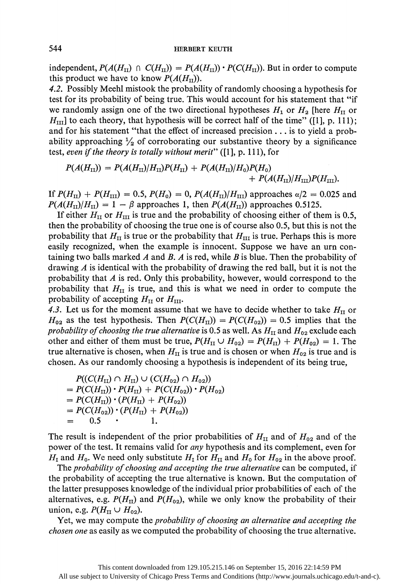independent,  $P(A(H_{II}) \cap C(H_{II})) = P(A(H_{II})) \cdot P(C(H_{II}))$ . But in order to compute this product we have to know  $P(A(H_{II}))$ .

**4.2. Possibly Meehl mistook the probability of randomly choosing a hypothesis for test for its probability of being true. This would account for his statement that "if**  we randomly assign one of the two directional hypotheses  $H_1$  or  $H_2$  [here  $H_{II}$  or  $H_{\text{III}}$  to each theory, that hypothesis will be correct half of the time" ([1], p. 111); **and for his statement "that the effect of increased precision . . . is to yield a prob**ability approaching  $\frac{1}{2}$  of corroborating our substantive theory by a significance **test, even if the theory is totally without merit" ([1], p. 111), for** 

$$
P(A(H_{II})) = P(A(H_{II})/H_{II})P(H_{II}) + P(A(H_{II})/H_0)P(H_0) + P(A(H_{II})/H_{III})P(H_{III}).
$$

If  $P(H_{\text{II}}) + P(H_{\text{III}}) = 0.5$ ,  $P(H_0) = 0$ ,  $P(A(H_{\text{II}})/H_{\text{III}})$  approaches  $\alpha/2 = 0.025$  and  $P(A(H_{II})/H_{II}) = 1 - \beta$  approaches 1, then  $P(A(H_{II}))$  approaches 0.5125.

If either  $H_{II}$  or  $H_{III}$  is true and the probability of choosing either of them is 0.5, **then the probability of choosing the true one is of course also 0.5, but this is not the**  probability that  $H_{II}$  is true or the probability that  $H_{III}$  is true. Perhaps this is more **easily recognized, when the example is innocent. Suppose we have an urn con**taining two balls marked  $\Lambda$  and  $\Lambda$ . A is red, while  $\Lambda$  is blue. Then the probability of **drawing A is identical with the probability of drawing the red ball, but it is not the probability that A is red. Only this probability, however, would correspond to the**  probability that  $H<sub>II</sub>$  is true, and this is what we need in order to compute the probability of accepting  $H_{\text{II}}$  or  $H_{\text{III}}$ .

4.3. Let us for the moment assume that we have to decide whether to take  $H_{II}$  or  $H_{02}$  as the test hypothesis. Then  $P(C(H_{II})) = P(C(H_{02})) = 0.5$  implies that the probability of choosing the true alternative is 0.5 as well. As  $H_{II}$  and  $H_{02}$  exclude each other and either of them must be true,  $P(H_{II} \cup H_{02}) = P(H_{II}) + P(H_{02}) = 1$ . The true alternative is chosen, when  $H_{II}$  is true and is chosen or when  $H_{02}$  is true and is **chosen. As our randomly choosing a hypothesis is independent of its being true,** 

$$
P((C(H_{II}) \cap H_{II}) \cup (C(H_{02}) \cap H_{02}))
$$
  
=  $P(C(H_{II})) \cdot P(H_{II}) + P(C(H_{02})) \cdot P(H_{02})$   
=  $P(C(H_{II})) \cdot (P(H_{II}) + P(H_{02}))$   
=  $P(C(H_{02})) \cdot (P(H_{II}) + P(H_{02}))$   
= 0.5 . 1.

The result is independent of the prior probabilities of  $H_{II}$  and of  $H_{02}$  and of the **power of the test. It remains valid for any hypothesis and its complement, even for**   $H<sub>I</sub>$  and  $H<sub>0</sub>$ . We need only substitute  $H<sub>I</sub>$  for  $H<sub>II</sub>$  and  $H<sub>0</sub>$  for  $H<sub>02</sub>$  in the above proof.

**The probability of choosing and accepting the true alternative can be computed, if the probability of accepting the true alternative is known. But the computation of the latter presupposes knowledge of the individual prior probabilities of each of the**  alternatives, e.g.  $P(H_{II})$  and  $P(H_{02})$ , while we only know the probability of their **union, e.g.**  $P(H_{II} \cup H_{02})$ .

**Yet, we may compute the probability of choosing an alternative and accepting the chosen one as easily as we computed the probability of choosing the true alternative.**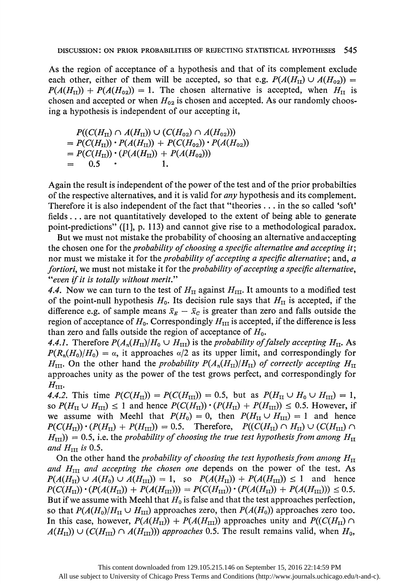**As the region of acceptance of a hypothesis and that of its complement exclude each other, either of them will be accepted, so that e.g.**  $P(A(H_{11}) \cup A(H_{02})) =$  $P(A(H_{II})) + P(A(H_{02})) = 1$ . The chosen alternative is accepted, when  $H_{II}$  is chosen and accepted or when  $H_{02}$  is chosen and accepted. As our randomly choos**ing a hypothesis is independent of our accepting it,** 

$$
P((C(H_{II}) \cap A(H_{II})) \cup (C(H_{02}) \cap A(H_{02})))
$$
  
=  $P(C(H_{II})) \cdot P(A(H_{II})) + P(C(H_{02})) \cdot P(A(H_{02}))$   
=  $P(C(H_{II})) \cdot (P(A(H_{II})) + P(A(H_{02})))$   
= 0.5 . 1.

**Again the result is independent of the power of the test and of the prior probabilties of the respective alternatives, and it is valid for any hypothesis and its complement. Therefore it is also independent of the fact that "theories . .. in the so called 'soft' fields ... are not quantitatively developed to the extent of being able to generate point-predictions" ([I], p. 113) and cannot give rise to a methodological paradox.** 

**But we must not mistake the probability of choosing an alternative and accepting the chosen one for the probability of choosing a specific alternative and accepting it; nor must we mistake it for the probability of accepting a specific alternative; and, a**  fortiori, we must not mistake it for the *probability of accepting a specific alternative*, **"even if it is totally without merit."** 

**4.4.** Now we can turn to the test of  $H_{II}$  against  $H_{III}$ . It amounts to a modified test of the point-null hypothesis  $H_0$ . Its decision rule says that  $H_{II}$  is accepted, if the difference e.g. of sample means  $\bar{x}_E - \bar{x}_C$  is greater than zero and falls outside the region of acceptance of  $H_0$ . Correspondingly  $H_{III}$  is accepted, if the difference is less than zero and falls outside the region of acceptance of  $H_0$ .

**4.4.1.** Therefore  $P(A_n(H_{\text{II}})/H_0 \cup H_{\text{III}})$  is the probability of falsely accepting  $H_{\text{II}}$ . As  $P(R_n(H_0)/H_0) = \alpha$ , it approaches  $\alpha/2$  as its upper limit, and correspondingly for  $H_{\text{III}}$ . On the other hand the probability  $P(A_n(H_{\text{II}})/H_{\text{II}})$  of correctly accepting  $H_{\text{II}}$ **approaches unity as the power of the test grows perfect, and correspondingly for**   $H_{\text{III}}$ .

**4.4.2.** This time  $P(C(H_{II})) = P(C(H_{III})) = 0.5$ , but as  $P(H_{II} \cup H_0 \cup H_{III}) = 1$ , so  $P(H_{\text{II}} \cup H_{\text{III}}) \leq 1$  and hence  $P(C(H_{\text{II}})) \cdot (P(H_{\text{II}}) + P(H_{\text{III}})) \leq 0.5$ . However, if we assume with Meehl that  $P(H_0) = 0$ , then  $P(H_{II} \cup H_{III}) = 1$  and hence  $P(C(H_{II})) \cdot (P(H_{II}) + P(H_{III})) = 0.5$ . Therefore,  $P((C(H_{II}) \cap H_{II}) \cup (C(H_{III}) \cap H_{II}))$  $H_{\text{III}}$ )) = 0.5, i.e. the probability of choosing the true test hypothesis from among  $H_{\text{II}}$ and  $H_{\text{III}}$  is 0.5.

On the other hand the *probability of choosing the test hypothesis from among*  $H_{II}$ and H<sub>III</sub> and accepting the chosen one depends on the power of the test. As  $P(A(H_{II}) \cup A(H_0) \cup A(H_{III})) = 1$ , so  $P(A(H_{II})) + P(A(H_{III})) \le 1$  and hence  $P(C(H_{\text{II}})) \cdot (P(A(H_{\text{II}})) + P(A(H_{\text{III}}))) = P(C(H_{\text{III}})) \cdot (P(A(H_{\text{II}})) + P(A(H_{\text{III}}))) \leq 0.5.$ But if we assume with Meehl that  $H_0$  is false and that the test approaches perfection, so that  $P(A(H_0)/H_{II} \cup H_{III})$  approaches zero, then  $P(A(H_0))$  approaches zero too. In this case, however,  $P(A(H_{II})) + P(A(H_{III}))$  approaches unity and  $P((C(H_{II}) \cap$  $A(H_{II}) \cup (C(H_{III}) \cap A(H_{III}))$  approaches 0.5. The result remains valid, when  $H_0$ ,